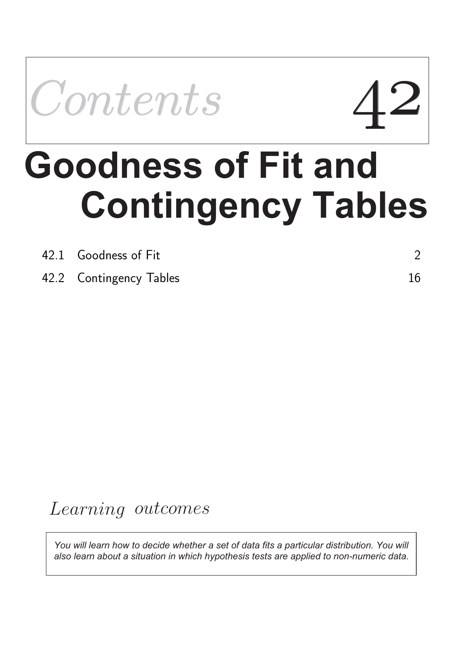

# **Contingency Tables Goodness of Fit and**

| 42.1 Goodness of Fit    |  |
|-------------------------|--|
| 42.2 Contingency Tables |  |

## Learning outcomes

*You will learn how to decide whether a set of data fits a particular distribution. You will also learn about a situation in which hypothesis tests are applied to non-numeric data.*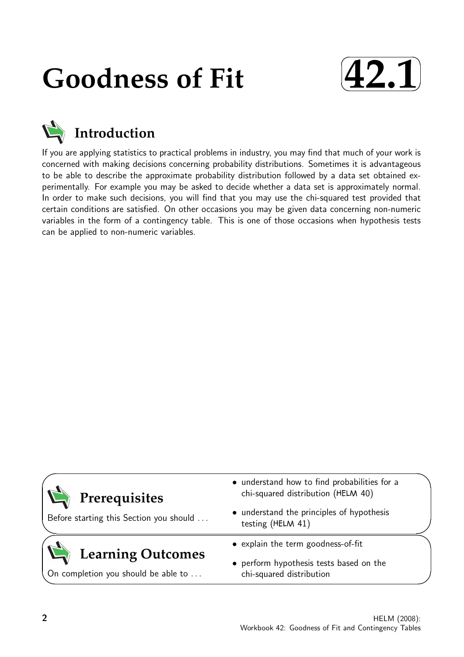## **Goodness of Fit**





If you are applying statistics to practical problems in industry, you may find that much of your work is concerned with making decisions concerning probability distributions. Sometimes it is advantageous to be able to describe the approximate probability distribution followed by a data set obtained experimentally. For example you may be asked to decide whether a data set is approximately normal. In order to make such decisions, you will find that you may use the chi-squared test provided that certain conditions are satisfied. On other occasions you may be given data concerning non-numeric variables in the form of a contingency table. This is one of those occasions when hypothesis tests can be applied to non-numeric variables.

| Prerequisites<br>Before starting this Section you should        | • understand how to find probabilities for a<br>chi-squared distribution (HELM 40)<br>• understand the principles of hypothesis<br>testing (HELM 41) |  |
|-----------------------------------------------------------------|------------------------------------------------------------------------------------------------------------------------------------------------------|--|
|                                                                 | • explain the term goodness-of-fit                                                                                                                   |  |
| <b>Learning Outcomes</b><br>On completion you should be able to | • perform hypothesis tests based on the<br>chi-squared distribution                                                                                  |  |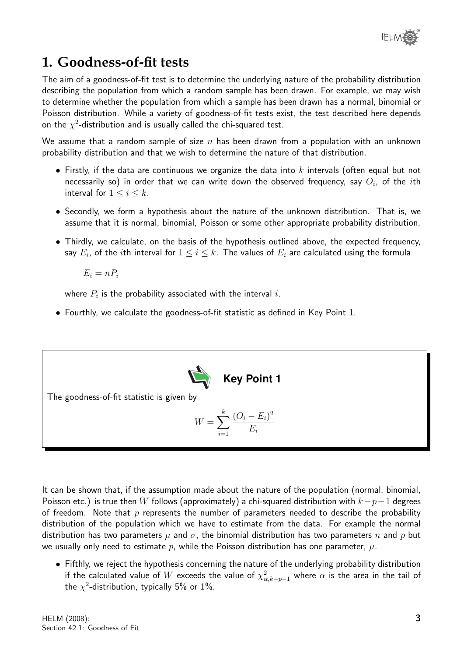

### **1. Goodness-of-fit tests**

The aim of a goodness-of-fit test is to determine the underlying nature of the probability distribution describing the population from which a random sample has been drawn. For example, we may wish to determine whether the population from which a sample has been drawn has a normal, binomial or Poisson distribution. While a variety of goodness-of-fit tests exist, the test described here depends on the  $\chi^2$ -distribution and is usually called the chi-squared test.

We assume that a random sample of size  $n$  has been drawn from a population with an unknown probability distribution and that we wish to determine the nature of that distribution.

- Firstly, if the data are continuous we organize the data into k intervals (often equal but not necessarily so) in order that we can write down the observed frequency, say  $O_i$ , of the  $i\mathsf{th}$ interval for  $1 \leq i \leq k$ .
- Secondly, we form a hypothesis about the nature of the unknown distribution. That is, we assume that it is normal, binomial, Poisson or some other appropriate probability distribution.
- Thirdly, we calculate, on the basis of the hypothesis outlined above, the expected frequency, say  $E_i$ , of the  $i$ th interval for  $1\leq i\leq k.$  The values of  $E_i$  are calculated using the formula

 $E_i = nP_i$ 

where  $P_i$  is the probability associated with the interval  $i.$ 

• Fourthly, we calculate the goodness-of-fit statistic as defined in Key Point 1.



It can be shown that, if the assumption made about the nature of the population (normal, binomial, Poisson etc.) is true then W follows (approximately) a chi-squared distribution with  $k-p-1$  degrees of freedom. Note that  $p$  represents the number of parameters needed to describe the probability distribution of the population which we have to estimate from the data. For example the normal distribution has two parameters  $\mu$  and  $\sigma$ , the binomial distribution has two parameters n and p but we usually only need to estimate p, while the Poisson distribution has one parameter,  $\mu$ .

• Fifthly, we reject the hypothesis concerning the nature of the underlying probability distribution if the calculated value of  $W$  exceeds the value of  $\chi^2_{\alpha, k-p-1}$  where  $\alpha$  is the area in the tail of the  $\chi^2$ -distribution, typically 5% or 1%.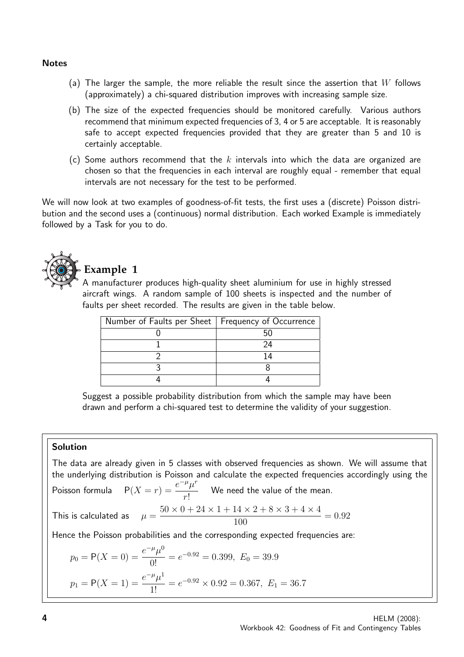#### **Notes**

- (a) The larger the sample, the more reliable the result since the assertion that  $W$  follows (approximately) a chi-squared distribution improves with increasing sample size.
- (b) The size of the expected frequencies should be monitored carefully. Various authors recommend that minimum expected frequencies of 3, 4 or 5 are acceptable. It is reasonably safe to accept expected frequencies provided that they are greater than 5 and 10 is certainly acceptable.
- (c) Some authors recommend that the k intervals into which the data are organized are chosen so that the frequencies in each interval are roughly equal - remember that equal intervals are not necessary for the test to be performed.

We will now look at two examples of goodness-of-fit tests, the first uses a (discrete) Poisson distribution and the second uses a (continuous) normal distribution. Each worked Example is immediately followed by a Task for you to do.



#### **Example 1**

A manufacturer produces high-quality sheet aluminium for use in highly stressed aircraft wings. A random sample of 100 sheets is inspected and the number of faults per sheet recorded. The results are given in the table below.

| Number of Faults per Sheet   Frequency of Occurrence |     |
|------------------------------------------------------|-----|
|                                                      |     |
|                                                      | 94  |
|                                                      | 1 4 |
|                                                      |     |
|                                                      |     |

Suggest a possible probability distribution from which the sample may have been drawn and perform a chi-squared test to determine the validity of your suggestion.

#### Solution

The data are already given in 5 classes with observed frequencies as shown. We will assume that the underlying distribution is Poisson and calculate the expected frequencies accordingly using the Poisson formula  $P(X = r) = \frac{e^{-\mu} \mu^r}{r^2}$ r! We need the value of the mean. This is calculated as  $50 \times 0 + 24 \times 1 + 14 \times 2 + 8 \times 3 + 4 \times 4$ 100  $= 0.92$ Hence the Poisson probabilities and the corresponding expected frequencies are:  $p_0 = P(X = 0) = \frac{e^{-\mu} \mu^0}{\Omega}$  $\frac{\mu}{0!}$  =  $e^{-0.92}$  = 0.399,  $E_0$  = 39.9

$$
p_1 = P(X = 1) = \frac{e^{-\mu} \mu^1}{1!} = e^{-0.92} \times 0.92 = 0.367, E_1 = 36.7
$$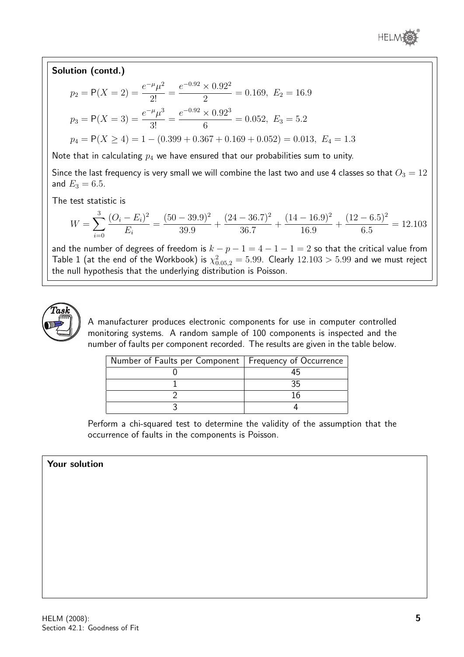

#### Solution (contd.)  $p_2 = P(X = 2) = \frac{e^{-\mu} \mu^2}{2!}$  $\frac{r}{2!}$  =  $e^{-0.92} \times 0.92^2$  $\frac{1}{2}$  = 0.169,  $E_2 = 16.9$  $p_3 = P(X = 3) = \frac{e^{-\mu} \mu^3}{3!}$  $\frac{\mu}{3!} =$  $e^{-0.92} \times 0.92^3$  $\frac{6.662}{6}$  = 0.052,  $E_3$  = 5.2  $p_4 = P(X \ge 4) = 1 - (0.399 + 0.367 + 0.169 + 0.052) = 0.013, E_4 = 1.3$

Note that in calculating  $p_4$  we have ensured that our probabilities sum to unity.

Since the last frequency is very small we will combine the last two and use 4 classes so that  $O_3 = 12$ and  $E_3 = 6.5$ .

The test statistic is

$$
W = \sum_{i=0}^{3} \frac{(O_i - E_i)^2}{E_i} = \frac{(50 - 39.9)^2}{39.9} + \frac{(24 - 36.7)^2}{36.7} + \frac{(14 - 16.9)^2}{16.9} + \frac{(12 - 6.5)^2}{6.5} = 12.103
$$

and the number of degrees of freedom is  $k - p - 1 = 4 - 1 - 1 = 2$  so that the critical value from Table  $1$  (at the end of the Workbook) is  $\chi_{0.05,2}^2=5.99.$  Clearly  $12.103>5.99$  and we must reject the null hypothesis that the underlying distribution is Poisson.



A manufacturer produces electronic components for use in computer controlled monitoring systems. A random sample of 100 components is inspected and the number of faults per component recorded. The results are given in the table below.

| Number of Faults per Component   Frequency of Occurrence |  |
|----------------------------------------------------------|--|
|                                                          |  |
|                                                          |  |
|                                                          |  |
|                                                          |  |

Perform a chi-squared test to determine the validity of the assumption that the occurrence of faults in the components is Poisson.

#### Your solution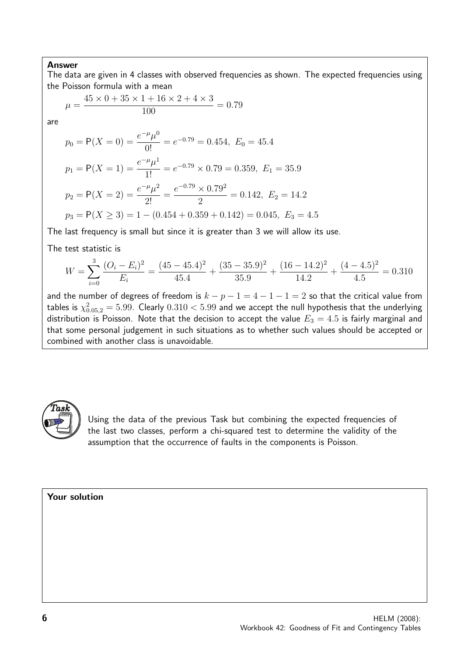The data are given in 4 classes with observed frequencies as shown. The expected frequencies using the Poisson formula with a mean

$$
\mu = \frac{45 \times 0 + 35 \times 1 + 16 \times 2 + 4 \times 3}{100} = 0.79
$$

are

$$
p_0 = P(X = 0) = \frac{e^{-\mu} \mu^0}{0!} = e^{-0.79} = 0.454, E_0 = 45.4
$$

$$
p_1 = P(X = 1) = \frac{e^{-\mu}\mu^1}{1!} = e^{-0.79} \times 0.79 = 0.359, E_1 = 35.9
$$
  

$$
p_2 = P(X = 2) = \frac{e^{-\mu}\mu^2}{2!} = \frac{e^{-0.79} \times 0.79^2}{2} = 0.142, E_2 = 14.2
$$
  

$$
p_3 = P(X \ge 3) = 1 - (0.454 + 0.359 + 0.142) = 0.045, E_3 = 4.5
$$

The last frequency is small but since it is greater than 3 we will allow its use.

The test statistic is

$$
W = \sum_{i=0}^{3} \frac{(O_i - E_i)^2}{E_i} = \frac{(45 - 45.4)^2}{45.4} + \frac{(35 - 35.9)^2}{35.9} + \frac{(16 - 14.2)^2}{14.2} + \frac{(4 - 4.5)^2}{4.5} = 0.310
$$

and the number of degrees of freedom is  $k - p - 1 = 4 - 1 - 1 = 2$  so that the critical value from tables is  $\chi^2_{0.05,2}=5.99$ . Clearly  $0.310 < 5.99$  and we accept the null hypothesis that the underlying distribution is Poisson. Note that the decision to accept the value  $E_3 = 4.5$  is fairly marginal and that some personal judgement in such situations as to whether such values should be accepted or combined with another class is unavoidable.



Using the data of the previous Task but combining the expected frequencies of the last two classes, perform a chi-squared test to determine the validity of the assumption that the occurrence of faults in the components is Poisson.

Your solution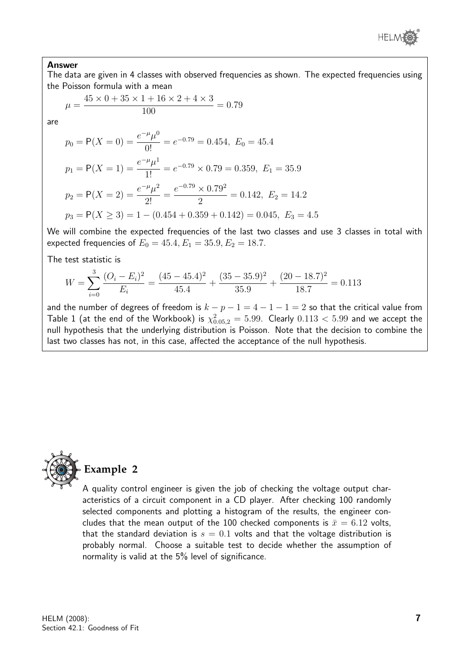

The data are given in 4 classes with observed frequencies as shown. The expected frequencies using the Poisson formula with a mean

$$
\mu = \frac{45 \times 0 + 35 \times 1 + 16 \times 2 + 4 \times 3}{100} = 0.79
$$

are

$$
p_0 = P(X = 0) = \frac{e^{-\mu} \mu^0}{0!} = e^{-0.79} = 0.454, E_0 = 45.4
$$

$$
p_1 = P(X = 1) = \frac{e^{-\mu}\mu^1}{1!} = e^{-0.79} \times 0.79 = 0.359, E_1 = 35.9
$$
  
\n
$$
p_2 = P(X = 2) = \frac{e^{-\mu}\mu^2}{2!} = \frac{e^{-0.79} \times 0.79^2}{2} = 0.142, E_2 = 14.2
$$
  
\n
$$
p_3 = P(X \ge 3) = 1 - (0.454 + 0.359 + 0.142) = 0.045, E_3 = 4.5
$$

We will combine the expected frequencies of the last two classes and use 3 classes in total with expected frequencies of  $E_0 = 45.4, E_1 = 35.9, E_2 = 18.7$ .

The test statistic is

$$
W = \sum_{i=0}^{3} \frac{(O_i - E_i)^2}{E_i} = \frac{(45 - 45.4)^2}{45.4} + \frac{(35 - 35.9)^2}{35.9} + \frac{(20 - 18.7)^2}{18.7} = 0.113
$$

and the number of degrees of freedom is  $k - p - 1 = 4 - 1 - 1 = 2$  so that the critical value from Table  $1$  (at the end of the Workbook) is  $\chi_{0.05,2}^2=5.99$ . Clearly  $0.113 < 5.99$  and we accept the null hypothesis that the underlying distribution is Poisson. Note that the decision to combine the last two classes has not, in this case, affected the acceptance of the null hypothesis.



A quality control engineer is given the job of checking the voltage output characteristics of a circuit component in a CD player. After checking 100 randomly selected components and plotting a histogram of the results, the engineer concludes that the mean output of the 100 checked components is  $\bar{x}=6.12$  volts, that the standard deviation is  $s = 0.1$  volts and that the voltage distribution is probably normal. Choose a suitable test to decide whether the assumption of normality is valid at the 5% level of significance.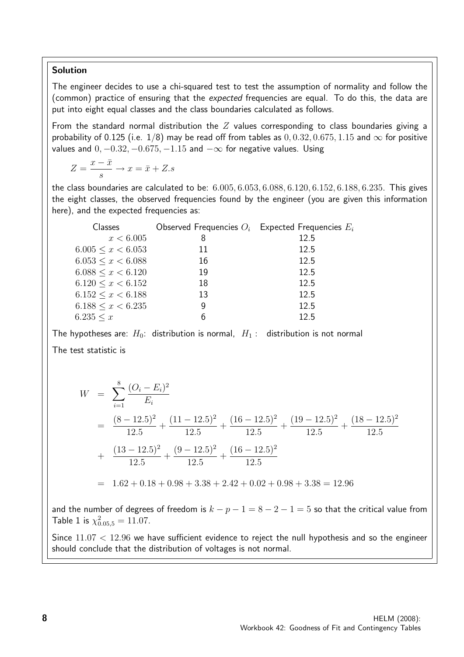#### Solution

The engineer decides to use a chi-squared test to test the assumption of normality and follow the (common) practice of ensuring that the expected frequencies are equal. To do this, the data are put into eight equal classes and the class boundaries calculated as follows.

From the standard normal distribution the  $Z$  values corresponding to class boundaries giving a probability of 0.125 (i.e. 1/8) may be read off from tables as  $0, 0.32, 0.675, 1.15$  and  $\infty$  for positive values and  $0, -0.32, -0.675, -1.15$  and  $-\infty$  for negative values. Using

$$
Z=\frac{x-\bar{x}}{s}\rightarrow x=\bar{x}+Z.s
$$

the class boundaries are calculated to be: 6.005, 6.053, 6.088, 6.120, 6.152, 6.188, 6.235. This gives the eight classes, the observed frequencies found by the engineer (you are given this information here), and the expected frequencies as:

| Classes                   |    | Observed Frequencies $O_i$ Expected Frequencies $E_i$ |
|---------------------------|----|-------------------------------------------------------|
| x < 6.005                 | 8  | 12.5                                                  |
| $6.005 \leq x \leq 6.053$ | 11 | 12.5                                                  |
| $6.053 \leq x \leq 6.088$ | 16 | 12.5                                                  |
| $6.088 \leq x \leq 6.120$ | 19 | 12.5                                                  |
| $6.120 \leq x \leq 6.152$ | 18 | 12.5                                                  |
| $6.152 \leq x \leq 6.188$ | 13 | 12.5                                                  |
| $6.188 \leq x \leq 6.235$ | 9  | 12.5                                                  |
| 6.235 < x                 | 6  | 12.5                                                  |

The hypotheses are:  $H_0$ : distribution is normal,  $H_1$ : distribution is not normal The test statistic is

$$
W = \sum_{i=1}^{8} \frac{(O_i - E_i)^2}{E_i}
$$
  
=  $\frac{(8 - 12.5)^2}{12.5} + \frac{(11 - 12.5)^2}{12.5} + \frac{(16 - 12.5)^2}{12.5} + \frac{(19 - 12.5)^2}{12.5} + \frac{(18 - 12.5)^2}{12.5}$   
=  $1.62 + 0.18 + 0.98 + 3.38 + 2.42 + 0.02 + 0.98 + 3.38 = 12.96$ 

and the number of degrees of freedom is  $k - p - 1 = 8 - 2 - 1 = 5$  so that the critical value from Table 1 is  $\chi_{0.05,5}^2 = 11.07$ .

Since  $11.07 < 12.96$  we have sufficient evidence to reject the null hypothesis and so the engineer should conclude that the distribution of voltages is not normal.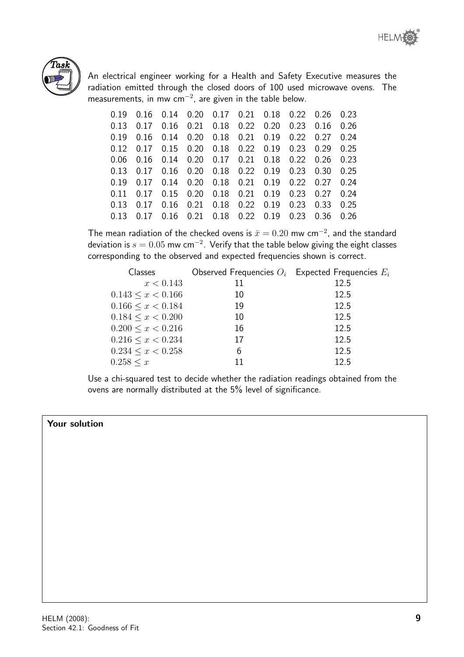



An electrical engineer working for a Health and Safety Executive measures the radiation emitted through the closed doors of 100 used microwave ovens. The measurements, in mw cm $^{-2}$ , are given in the table below.

|      |           | 0.19  0.16  0.14  0.20  0.17  0.21  0.18  0.22  0.26  0.23 |  |  |      |
|------|-----------|------------------------------------------------------------|--|--|------|
|      |           | 0.13 0.17 0.16 0.21 0.18 0.22 0.20 0.23 0.16 0.26          |  |  |      |
|      |           | 0.19  0.16  0.14  0.20  0.18  0.21  0.19  0.22  0.27  0.24 |  |  |      |
|      |           | 0.12 0.17 0.15 0.20 0.18 0.22 0.19 0.23 0.29 0.25          |  |  |      |
|      |           | 0.06  0.16  0.14  0.20  0.17  0.21  0.18  0.22  0.26  0.23 |  |  |      |
|      |           | 0.13 0.17 0.16 0.20 0.18 0.22 0.19 0.23 0.30 0.25          |  |  |      |
|      |           | 0.19  0.17  0.14  0.20  0.18  0.21  0.19  0.22  0.27  0.24 |  |  |      |
|      |           | 0.11 0.17 0.15 0.20 0.18 0.21 0.19 0.23 0.27 0.24          |  |  |      |
| 0.13 | 0.17      | $0.16$ $0.21$ $0.18$ $0.22$ $0.19$ $0.23$ $0.33$           |  |  | 0.25 |
|      | 0.13 0.17 | 0.16 0.21 0.18 0.22 0.19 0.23 0.36                         |  |  | 0.26 |

The mean radiation of the checked ovens is  $\bar{x}=0.20$  mw cm $^{-2}$ , and the standard deviation is  $s=0.05$  mw cm $^{-2}.$  Verify that the table below giving the eight classes corresponding to the observed and expected frequencies shown is correct.

| Classes                   |    | Observed Frequencies $O_i$ Expected Frequencies $E_i$ |
|---------------------------|----|-------------------------------------------------------|
| x < 0.143                 | 11 | 12.5                                                  |
| $0.143 \leq x \leq 0.166$ | 10 | 12.5                                                  |
| $0.166 \leq x \leq 0.184$ | 19 | 12.5                                                  |
| $0.184 \leq x \leq 0.200$ | 10 | 12.5                                                  |
| $0.200 \leq x \leq 0.216$ | 16 | 12.5                                                  |
| $0.216 \leq x < 0.234$    | 17 | 12.5                                                  |
| $0.234 \leq x < 0.258$    | 6  | 12.5                                                  |
| 0.258 < x                 | 11 | 12.5                                                  |

Use a chi-squared test to decide whether the radiation readings obtained from the ovens are normally distributed at the 5% level of significance.

#### Your solution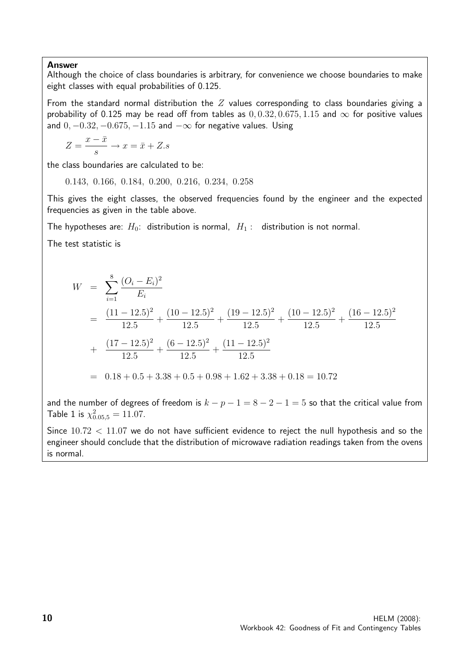Although the choice of class boundaries is arbitrary, for convenience we choose boundaries to make eight classes with equal probabilities of 0.125.

From the standard normal distribution the  $Z$  values corresponding to class boundaries giving a probability of 0.125 may be read off from tables as  $0, 0.32, 0.675, 1.15$  and  $\infty$  for positive values and  $0, -0.32, -0.675, -1.15$  and  $-\infty$  for negative values. Using

$$
Z = \frac{x - \bar{x}}{s} \to x = \bar{x} + Z.s
$$

the class boundaries are calculated to be:

0.143, 0.166, 0.184, 0.200, 0.216, 0.234, 0.258

This gives the eight classes, the observed frequencies found by the engineer and the expected frequencies as given in the table above.

The hypotheses are:  $H_0$ : distribution is normal,  $H_1$ : distribution is not normal.

The test statistic is

$$
W = \sum_{i=1}^{8} \frac{(O_i - E_i)^2}{E_i}
$$
  
= 
$$
\frac{(11 - 12.5)^2}{12.5} + \frac{(10 - 12.5)^2}{12.5} + \frac{(19 - 12.5)^2}{12.5} + \frac{(10 - 12.5)^2}{12.5} + \frac{(16 - 12.5)^2}{12.5}
$$
  
+ 
$$
\frac{(17 - 12.5)^2}{12.5} + \frac{(6 - 12.5)^2}{12.5} + \frac{(11 - 12.5)^2}{12.5}
$$
  
= 0.18 + 0.5 + 3.38 + 0.5 + 0.98 + 1.62 + 3.38 + 0.18 = 10.72

and the number of degrees of freedom is  $k - p - 1 = 8 - 2 - 1 = 5$  so that the critical value from Table 1 is  $\chi_{0.05,5}^2 = 11.07$ .

Since  $10.72 < 11.07$  we do not have sufficient evidence to reject the null hypothesis and so the engineer should conclude that the distribution of microwave radiation readings taken from the ovens is normal.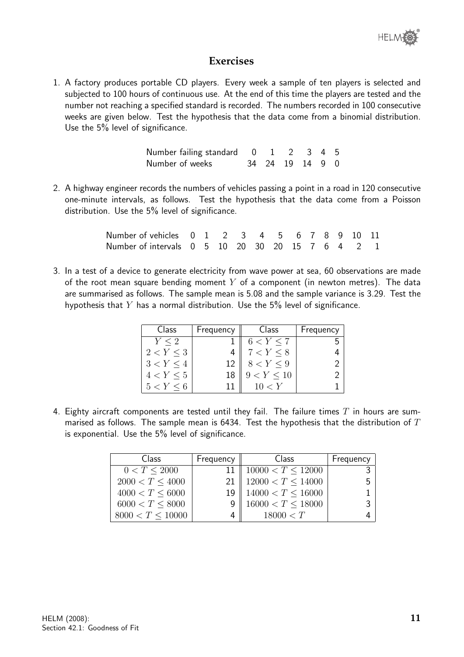

#### **Exercises**

1. A factory produces portable CD players. Every week a sample of ten players is selected and subjected to 100 hours of continuous use. At the end of this time the players are tested and the number not reaching a specified standard is recorded. The numbers recorded in 100 consecutive weeks are given below. Test the hypothesis that the data come from a binomial distribution. Use the 5% level of significance.

| Number failing standard 0 1 2 3 4 5 |  |                 |  |
|-------------------------------------|--|-----------------|--|
| Number of weeks                     |  | 34 24 19 14 9 0 |  |

2. A highway engineer records the numbers of vehicles passing a point in a road in 120 consecutive one-minute intervals, as follows. Test the hypothesis that the data come from a Poisson distribution. Use the 5% level of significance.

| Number of vehicles 0 1 2 3 4 5 6 7 8 9 10 11     |  |  |  |  |  |  |
|--------------------------------------------------|--|--|--|--|--|--|
| Number of intervals 0 5 10 20 30 20 15 7 6 4 2 1 |  |  |  |  |  |  |

3. In a test of a device to generate electricity from wave power at sea, 60 observations are made of the root mean square bending moment  $Y$  of a component (in newton metres). The data are summarised as follows. The sample mean is 5.08 and the sample variance is 3.29. Test the hypothesis that  $Y$  has a normal distribution. Use the  $5\%$  level of significance.

| Class         | Frequency | Class      | Frequency |
|---------------|-----------|------------|-----------|
| Y < 2         |           | 6 < Y < 7  |           |
| 2 < Y < 3     |           | 7 < Y < 8  |           |
| 3 < Y < 4     | 12        | 8 < Y < 9  |           |
| 4 < Y < 5     |           | 9 < Y < 10 |           |
| $5 < Y \le 6$ |           | 10 < Y     |           |

4. Eighty aircraft components are tested until they fail. The failure times  $T$  in hours are summarised as follows. The sample mean is 6434. Test the hypothesis that the distribution of  $T$ is exponential. Use the 5% level of significance.

| <b>Class</b>         | Frequency $\parallel$ | Class                    | Frequency |
|----------------------|-----------------------|--------------------------|-----------|
| 0 < T < 2000         |                       | 10000 $\lt T \leq 12000$ |           |
| 2000 < T < 4000      |                       | 12000 $\lt T \leq 14000$ |           |
| $4000 < T \leq 6000$ | 19                    | 14000 $\lt T \le 16000$  |           |
| 6000 < T < 8000      |                       | $16000 < T \leq 18000$   |           |
| 8000 < T < 10000     | 4                     | 18000 < T                |           |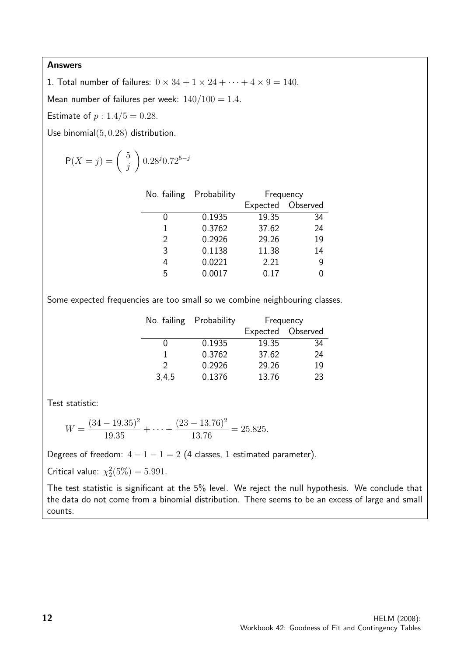1. Total number of failures:  $0 \times 34 + 1 \times 24 + \cdots + 4 \times 9 = 140$ .

Mean number of failures per week:  $140/100 = 1.4$ .

Estimate of  $p : 1.4/5 = 0.28$ .

Use binomial(5, 0.28) distribution.

$$
P(X = j) = {5 \choose j} 0.28^{j} 0.72^{5-j}
$$

|               | No. failing Probability | Frequency         |    |  |
|---------------|-------------------------|-------------------|----|--|
|               |                         | Expected Observed |    |  |
| 0             | 0.1935                  | 19.35             | 34 |  |
| 1             | 0.3762                  | 37.62             | 24 |  |
| $\mathcal{P}$ | 0.2926                  | 29.26             | 19 |  |
| 3             | 0.1138                  | 11.38             | 14 |  |
| 4             | 0.0221                  | 2.21              | 9  |  |
| 5             | 0.0017                  | 0.17              |    |  |
|               |                         |                   |    |  |

Some expected frequencies are too small so we combine neighbouring classes.

|               | No. failing Probability | Frequency |                   |
|---------------|-------------------------|-----------|-------------------|
|               |                         |           | Expected Observed |
|               | 0.1935                  | 19.35     | 34                |
|               | 0.3762                  | 37.62     | 24                |
| $\mathcal{P}$ | 0.2926                  | 29.26     | 19                |
| 3,4,5         | 0.1376                  | 13.76     | 23                |

Test statistic:

$$
W = \frac{(34 - 19.35)^2}{19.35} + \dots + \frac{(23 - 13.76)^2}{13.76} = 25.825.
$$

Degrees of freedom:  $4 - 1 - 1 = 2$  (4 classes, 1 estimated parameter).

Critical value:  $\chi_2^2(5\%) = 5.991$ .

The test statistic is significant at the 5% level. We reject the null hypothesis. We conclude that the data do not come from a binomial distribution. There seems to be an excess of large and small counts.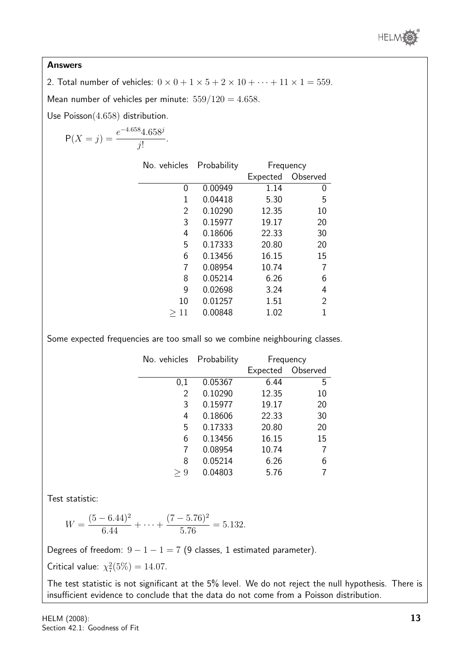

2. Total number of vehicles:  $0 \times 0 + 1 \times 5 + 2 \times 10 + \cdots + 11 \times 1 = 559$ .

Mean number of vehicles per minute:  $559/120 = 4.658$ .

Use Poisson(4.658) distribution.

$$
P(X = j) = \frac{e^{-4.658}4.658^j}{j!}.
$$

| No. vehicles Probability |         | Frequency |                |
|--------------------------|---------|-----------|----------------|
|                          |         | Expected  | Observed       |
| 0                        | 0.00949 | 1.14      | 0              |
| 1                        | 0.04418 | 5.30      | 5              |
| 2                        | 0.10290 | 12.35     | 10             |
| 3                        | 0.15977 | 19.17     | 20             |
| 4                        | 0.18606 | 22.33     | 30             |
| 5                        | 0.17333 | 20.80     | 20             |
| 6                        | 0.13456 | 16.15     | 15             |
| 7                        | 0.08954 | 10.74     |                |
| 8                        | 0.05214 | 6.26      | 6              |
| 9                        | 0.02698 | 3.24      | 4              |
| 10                       | 0.01257 | 1.51      | $\overline{2}$ |
| 11<br>>                  | 0.00848 | 1.02      | 1              |

Some expected frequencies are too small so we combine neighbouring classes.

| No. vehicles Probability |         | Frequency |          |
|--------------------------|---------|-----------|----------|
|                          |         | Expected  | Observed |
| 0,1                      | 0.05367 | 6.44      | 5        |
| $\overline{2}$           | 0.10290 | 12.35     | 10       |
| 3                        | 0.15977 | 19.17     | 20       |
| 4                        | 0.18606 | 22.33     | 30       |
| 5                        | 0.17333 | 20.80     | 20       |
| 6                        | 0.13456 | 16.15     | 15       |
| 7                        | 0.08954 | 10.74     |          |
| 8                        | 0.05214 | 6.26      | 6        |
| 9                        | 0.04803 | 5.76      |          |

Test statistic:

$$
W = \frac{(5 - 6.44)^2}{6.44} + \dots + \frac{(7 - 5.76)^2}{5.76} = 5.132.
$$

Degrees of freedom:  $9 - 1 - 1 = 7$  (9 classes, 1 estimated parameter).

Critical value:  $\chi^2(5\%) = 14.07$ .

The test statistic is not significant at the 5% level. We do not reject the null hypothesis. There is insufficient evidence to conclude that the data do not come from a Poisson distribution.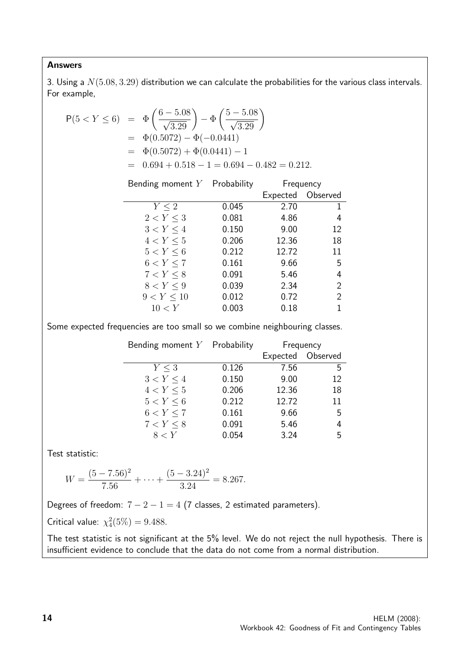3. Using a  $N(5.08, 3.29)$  distribution we can calculate the probabilities for the various class intervals. For example,

$$
P(5 < Y \le 6) = \Phi\left(\frac{6 - 5.08}{\sqrt{3.29}}\right) - \Phi\left(\frac{5 - 5.08}{\sqrt{3.29}}\right)
$$
  
=  $\Phi(0.5072) - \Phi(-0.0441)$   
=  $\Phi(0.5072) + \Phi(0.0441) - 1$   
=  $0.694 + 0.518 - 1 = 0.694 - 0.482 = 0.212$ .

| Bending moment $Y$ Probability |       | Frequency |                |
|--------------------------------|-------|-----------|----------------|
|                                |       | Expected  | Observed       |
| $Y \leq 2$                     | 0.045 | 2.70      | 1.             |
| 2 < Y < 3                      | 0.081 | 4.86      | 4              |
| 3 < Y < 4                      | 0.150 | 9.00      | 12             |
| 4 < Y < 5                      | 0.206 | 12.36     | 18             |
| 5 < Y < 6                      | 0.212 | 12.72     | 11             |
| 6 < Y < 7                      | 0.161 | 9.66      | 5              |
| 7 < Y < 8                      | 0.091 | 5.46      | 4              |
| 8 < Y < 9                      | 0.039 | 2.34      | 2              |
| 9 < Y < 10                     | 0.012 | 0.72      | $\overline{2}$ |
| 10 < Y                         | 0.003 | 0.18      | 1              |

Some expected frequencies are too small so we combine neighbouring classes.

| Bending moment $Y$ Probability |       |       | Frequency         |
|--------------------------------|-------|-------|-------------------|
|                                |       |       | Expected Observed |
| Y < 3                          | 0.126 | 7.56  | 5                 |
| 3 < Y < 4                      | 0.150 | 9.00  | 12                |
| 4 < Y < 5                      | 0.206 | 12.36 | 18                |
| 5 < Y < 6                      | 0.212 | 12.72 | 11                |
| 6 < Y < 7                      | 0.161 | 9.66  | 5                 |
| 7 < Y < 8                      | 0.091 | 5.46  | 4                 |
| 8 < Y                          | 0.054 | 3.24  | 5                 |

Test statistic:

$$
W = \frac{(5 - 7.56)^2}{7.56} + \dots + \frac{(5 - 3.24)^2}{3.24} = 8.267.
$$

Degrees of freedom:  $7 - 2 - 1 = 4$  (7 classes, 2 estimated parameters).

Critical value:  $\chi_4^2(5\%) = 9.488$ .

The test statistic is not significant at the 5% level. We do not reject the null hypothesis. There is insufficient evidence to conclude that the data do not come from a normal distribution.